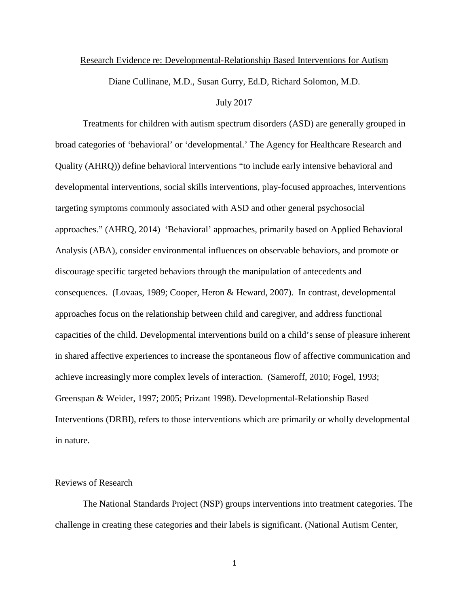#### Research Evidence re: Developmental-Relationship Based Interventions for Autism

Diane Cullinane, M.D., Susan Gurry, Ed.D, Richard Solomon, M.D.

#### July 2017

Treatments for children with autism spectrum disorders (ASD) are generally grouped in broad categories of 'behavioral' or 'developmental.' The Agency for Healthcare Research and Quality (AHRQ)) define behavioral interventions "to include early intensive behavioral and developmental interventions, social skills interventions, play-focused approaches, interventions targeting symptoms commonly associated with ASD and other general psychosocial approaches." (AHRQ, 2014) 'Behavioral' approaches, primarily based on Applied Behavioral Analysis (ABA), consider environmental influences on observable behaviors, and promote or discourage specific targeted behaviors through the manipulation of antecedents and consequences. (Lovaas, 1989; Cooper, Heron & Heward, 2007). In contrast, developmental approaches focus on the relationship between child and caregiver, and address functional capacities of the child. Developmental interventions build on a child's sense of pleasure inherent in shared affective experiences to increase the spontaneous flow of affective communication and achieve increasingly more complex levels of interaction. (Sameroff, 2010; Fogel, 1993; Greenspan & Weider, 1997; 2005; Prizant 1998). Developmental-Relationship Based Interventions (DRBI), refers to those interventions which are primarily or wholly developmental in nature.

## Reviews of Research

The National Standards Project (NSP) groups interventions into treatment categories. The challenge in creating these categories and their labels is significant. (National Autism Center,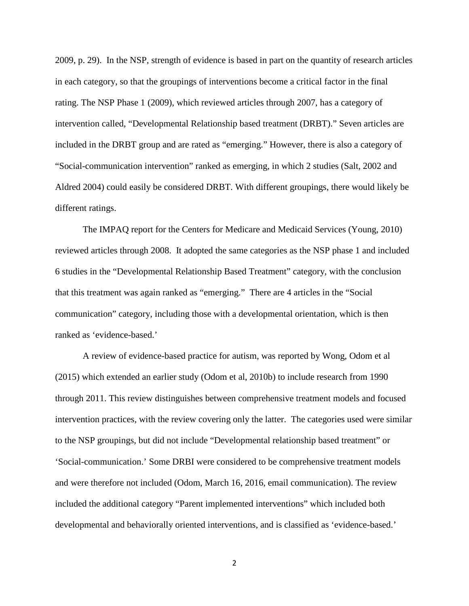2009, p. 29). In the NSP, strength of evidence is based in part on the quantity of research articles in each category, so that the groupings of interventions become a critical factor in the final rating. The NSP Phase 1 (2009), which reviewed articles through 2007, has a category of intervention called, "Developmental Relationship based treatment (DRBT)." Seven articles are included in the DRBT group and are rated as "emerging." However, there is also a category of "Social-communication intervention" ranked as emerging, in which 2 studies (Salt, 2002 and Aldred 2004) could easily be considered DRBT. With different groupings, there would likely be different ratings.

The IMPAQ report for the Centers for Medicare and Medicaid Services (Young, 2010) reviewed articles through 2008. It adopted the same categories as the NSP phase 1 and included 6 studies in the "Developmental Relationship Based Treatment" category, with the conclusion that this treatment was again ranked as "emerging." There are 4 articles in the "Social communication" category, including those with a developmental orientation, which is then ranked as 'evidence-based.'

A review of evidence-based practice for autism, was reported by Wong, Odom et al (2015) which extended an earlier study (Odom et al, 2010b) to include research from 1990 through 2011. This review distinguishes between comprehensive treatment models and focused intervention practices, with the review covering only the latter. The categories used were similar to the NSP groupings, but did not include "Developmental relationship based treatment" or 'Social-communication.' Some DRBI were considered to be comprehensive treatment models and were therefore not included (Odom, March 16, 2016, email communication). The review included the additional category "Parent implemented interventions" which included both developmental and behaviorally oriented interventions, and is classified as 'evidence-based.'

2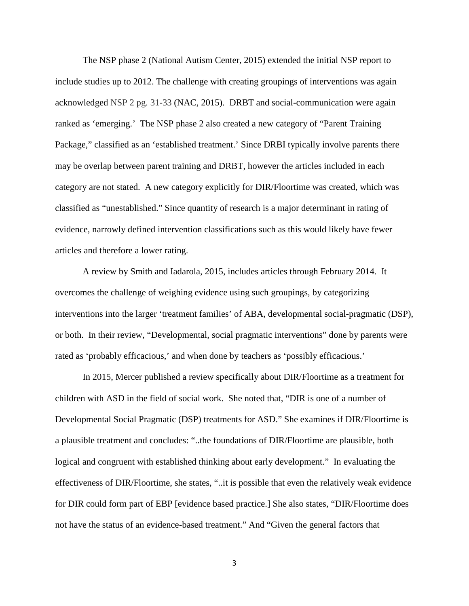The NSP phase 2 (National Autism Center, 2015) extended the initial NSP report to include studies up to 2012. The challenge with creating groupings of interventions was again acknowledged NSP 2 pg. 31-33 (NAC, 2015). DRBT and social-communication were again ranked as 'emerging.' The NSP phase 2 also created a new category of "Parent Training Package," classified as an 'established treatment.' Since DRBI typically involve parents there may be overlap between parent training and DRBT, however the articles included in each category are not stated. A new category explicitly for DIR/Floortime was created, which was classified as "unestablished." Since quantity of research is a major determinant in rating of evidence, narrowly defined intervention classifications such as this would likely have fewer articles and therefore a lower rating.

A review by Smith and Iadarola, 2015, includes articles through February 2014. It overcomes the challenge of weighing evidence using such groupings, by categorizing interventions into the larger 'treatment families' of ABA, developmental social-pragmatic (DSP), or both. In their review, "Developmental, social pragmatic interventions" done by parents were rated as 'probably efficacious,' and when done by teachers as 'possibly efficacious.'

In 2015, Mercer published a review specifically about DIR/Floortime as a treatment for children with ASD in the field of social work. She noted that, "DIR is one of a number of Developmental Social Pragmatic (DSP) treatments for ASD." She examines if DIR/Floortime is a plausible treatment and concludes: "..the foundations of DIR/Floortime are plausible, both logical and congruent with established thinking about early development." In evaluating the effectiveness of DIR/Floortime, she states, "..it is possible that even the relatively weak evidence for DIR could form part of EBP [evidence based practice.] She also states, "DIR/Floortime does not have the status of an evidence-based treatment." And "Given the general factors that

3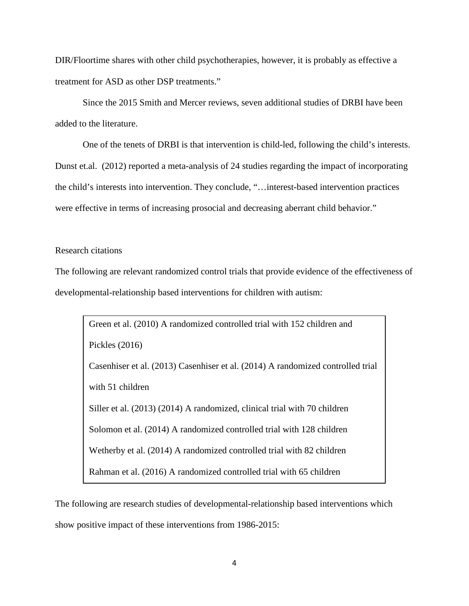DIR/Floortime shares with other child psychotherapies, however, it is probably as effective a treatment for ASD as other DSP treatments."

Since the 2015 Smith and Mercer reviews, seven additional studies of DRBI have been added to the literature.

One of the tenets of DRBI is that intervention is child-led, following the child's interests. Dunst et.al. (2012) reported a meta-analysis of 24 studies regarding the impact of incorporating the child's interests into intervention. They conclude, "…interest-based intervention practices were effective in terms of increasing prosocial and decreasing aberrant child behavior."

## Research citations

The following are relevant randomized control trials that provide evidence of the effectiveness of developmental-relationship based interventions for children with autism:

Green et al. (2010) A randomized controlled trial with 152 children and Pickles (2016) Casenhiser et al. (2013) Casenhiser et al. (2014) A randomized controlled trial with 51 children Siller et al. (2013) (2014) A randomized, clinical trial with 70 children Solomon et al. (2014) A randomized controlled trial with 128 children Wetherby et al. (2014) A randomized controlled trial with 82 children Rahman et al. (2016) A randomized controlled trial with 65 children

The following are research studies of developmental-relationship based interventions which show positive impact of these interventions from 1986-2015: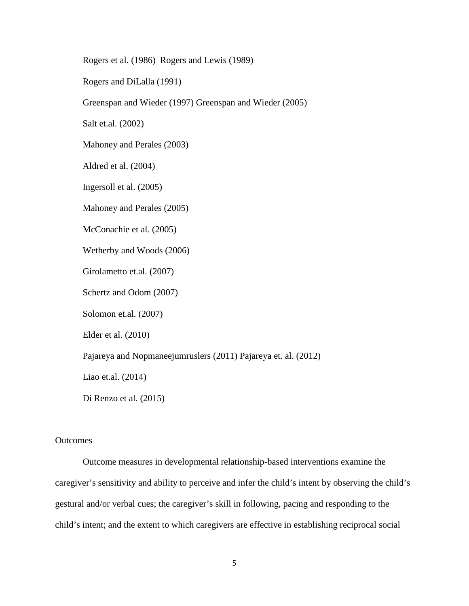Rogers et al. (1986) Rogers and Lewis (1989)

Rogers and DiLalla (1991)

Greenspan and Wieder (1997) Greenspan and Wieder (2005)

Salt et.al. (2002)

Mahoney and Perales (2003)

Aldred et al. (2004)

Ingersoll et al. (2005)

Mahoney and Perales (2005)

McConachie et al. (2005)

Wetherby and Woods (2006)

Girolametto et.al. (2007)

Schertz and Odom (2007)

Solomon et.al. (2007)

Elder et al. (2010)

Pajareya and Nopmaneejumruslers (2011) Pajareya et. al. (2012)

Liao et.al. (2014)

Di Renzo et al. (2015)

### **Outcomes**

Outcome measures in developmental relationship-based interventions examine the caregiver's sensitivity and ability to perceive and infer the child's intent by observing the child's gestural and/or verbal cues; the caregiver's skill in following, pacing and responding to the child's intent; and the extent to which caregivers are effective in establishing reciprocal social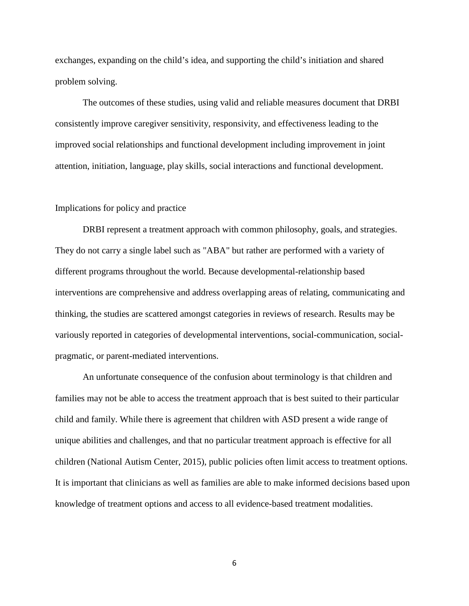exchanges, expanding on the child's idea, and supporting the child's initiation and shared problem solving.

The outcomes of these studies, using valid and reliable measures document that DRBI consistently improve caregiver sensitivity, responsivity, and effectiveness leading to the improved social relationships and functional development including improvement in joint attention, initiation, language, play skills, social interactions and functional development.

## Implications for policy and practice

DRBI represent a treatment approach with common philosophy, goals, and strategies. They do not carry a single label such as "ABA" but rather are performed with a variety of different programs throughout the world. Because developmental-relationship based interventions are comprehensive and address overlapping areas of relating, communicating and thinking, the studies are scattered amongst categories in reviews of research. Results may be variously reported in categories of developmental interventions, social-communication, socialpragmatic, or parent-mediated interventions.

An unfortunate consequence of the confusion about terminology is that children and families may not be able to access the treatment approach that is best suited to their particular child and family. While there is agreement that children with ASD present a wide range of unique abilities and challenges, and that no particular treatment approach is effective for all children (National Autism Center, 2015), public policies often limit access to treatment options. It is important that clinicians as well as families are able to make informed decisions based upon knowledge of treatment options and access to all evidence-based treatment modalities.

6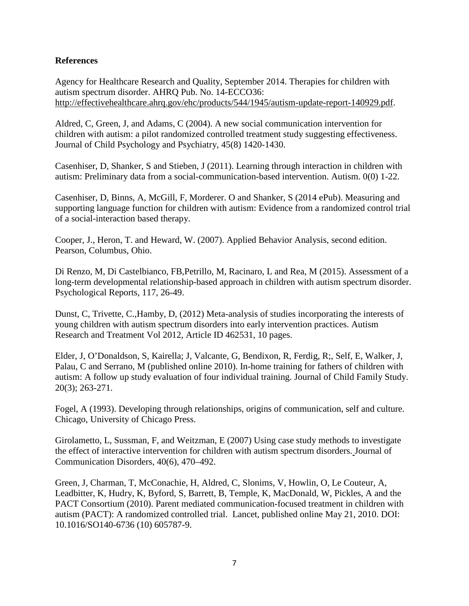# **References**

Agency for Healthcare Research and Quality, September 2014. Therapies for children with autism spectrum disorder. AHRQ Pub. No. 14-ECCO36[:](http://effectivehealthcare.ahrq.gov/ehc/products/544/1945/autism-update-report-140929.pdf) [http://effectivehealthcare.ahrq.gov/ehc/products/544/1945/autism-update-report-140929.pdf.](http://effectivehealthcare.ahrq.gov/ehc/products/544/1945/autism-update-report-140929.pdf)

Aldred, C, Green, J, and Adams, C (2004). A new social communication intervention for children with autism: a pilot randomized controlled treatment study suggesting effectiveness. Journal of Child Psychology and Psychiatry, 45(8) 1420-1430.

Casenhiser, D, Shanker, S and Stieben, J (2011). Learning through interaction in children with autism: Preliminary data from a social-communication-based intervention. Autism. 0(0) 1-22.

Casenhiser, D, Binns, A, McGill, F, Morderer. O and Shanker, S (2014 ePub). Measuring and supporting language function for children with autism: Evidence from a randomized control trial of a social-interaction based therapy.

Cooper, J., Heron, T. and Heward, W. (2007). Applied Behavior Analysis, second edition. Pearson, Columbus, Ohio.

Di Renzo, M, Di Castelbianco, FB,Petrillo, M, Racinaro, L and Rea, M (2015). Assessment of a long-term developmental relationship-based approach in children with autism spectrum disorder. Psychological Reports, 117, 26-49.

Dunst, C, Trivette, C.,Hamby, D, (2012) Meta-analysis of studies incorporating the interests of young children with autism spectrum disorders into early intervention practices. Autism Research and Treatment Vol 2012, Article ID 462531, 10 pages.

Elder, J, O'Donaldson, S, Kairella; J, Valcante, G, Bendixon, R, Ferdig, R;, Self, E, Walker, J, Palau, C and Serrano, M (published online 2010). In-home training for fathers of children with autism: A follow up study evaluation of four individual training. Journal of Child Family Study. 20(3); 263-271.

Fogel, A (1993). Developing through relationships, origins of communication, self and culture. Chicago, University of Chicago Press.

Girolametto, L, Sussman, F, and Weitzman, E (2007) Using case study methods to investigate the effect of interactive intervention for children with autism spectrum disorders[.](http://www.sciencedirect.com/science/journal/00219924) Journal of Communication Disorders, 40(6), 470–492.

Green, J, Charman, T, McConachie, H, Aldred, C, Slonims, V, Howlin, O, Le Couteur, A, Leadbitter, K, Hudry, K, Byford, S, Barrett, B, Temple, K, MacDonald, W, Pickles, A and the PACT Consortium (2010). Parent mediated communication-focused treatment in children with autism (PACT): A randomized controlled trial. Lancet, published online May 21, 2010. DOI: 10.1016/SO140-6736 (10) 605787-9.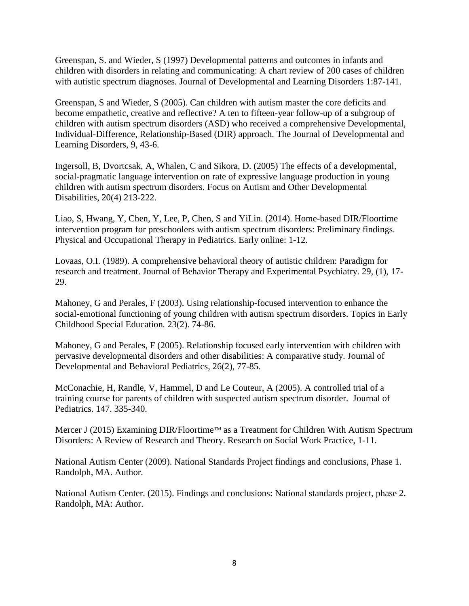Greenspan, S. and Wieder, S (1997) Developmental patterns and outcomes in infants and children with disorders in relating and communicating: A chart review of 200 cases of children with autistic spectrum diagnoses*.* Journal of Developmental and Learning Disorders 1:87-141.

Greenspan, S and Wieder, S (2005). Can children with autism master the core deficits and become empathetic, creative and reflective? A ten to fifteen-year follow-up of a subgroup of children with autism spectrum disorders (ASD) who received a comprehensive Developmental, Individual-Difference, Relationship-Based (DIR) approach. The Journal of Developmental and Learning Disorders*,* 9, 43-6.

Ingersoll, B, Dvortcsak, A, Whalen, C and Sikora, D. (2005) The effects of a developmental, social-pragmatic language intervention on rate of expressive language production in young children with autism spectrum disorders. Focus on Autism and Other Developmental Disabilities, 20(4) 213-222.

Liao, S, Hwang, Y, Chen, Y, Lee, P, Chen, S and YiLin. (2014). Home-based DIR/Floortime intervention program for preschoolers with autism spectrum disorders: Preliminary findings. Physical and Occupational Therapy in Pediatrics. Early online: 1-12.

Lovaas, O.I. (1989). A comprehensive behavioral theory of autistic children: Paradigm for research and treatment. Journal of Behavior Therapy and Experimental Psychiatry. 29, (1), 17- 29.

Mahoney, G and Perales, F (2003). Using relationship-focused intervention to enhance the social-emotional functioning of young children with autism spectrum disorders. Topics in Early Childhood Special Education*.* 23(2). 74-86.

Mahoney, G and Perales, F (2005). Relationship focused early intervention with children with pervasive developmental disorders and other disabilities: A comparative study. Journal of Developmental and Behavioral Pediatrics, 26(2), 77-85.

McConachie, H, Randle, V, Hammel, D and Le Couteur, A (2005). A controlled trial of a training course for parents of children with suspected autism spectrum disorder. Journal of Pediatrics. 147. 335-340.

Mercer J (2015) Examining DIR/Floortime<sup>™</sup> as a Treatment for Children With Autism Spectrum Disorders: A Review of Research and Theory. Research on Social Work Practice, 1-11.

National Autism Center (2009). National Standards Project findings and conclusions, Phase 1. Randolph, MA. Author.

National Autism Center. (2015). Findings and conclusions: National standards project, phase 2. Randolph, MA: Author.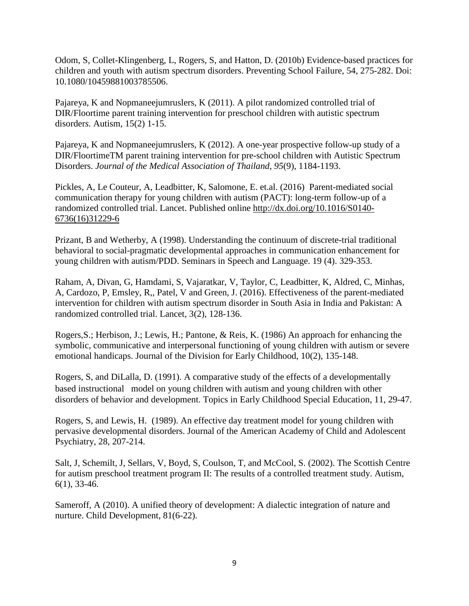Odom, S, Collet-Klingenberg, L, Rogers, S, and Hatton, D. (2010b) Evidence-based practices for children and youth with autism spectrum disorders. Preventing School Failure, 54, 275-282. Doi: 10.1080/10459881003785506.

Pajareya, K and Nopmaneejumruslers, K (2011). A pilot randomized controlled trial of DIR/Floortime parent training intervention for preschool children with autistic spectrum disorder*s.* Autism*,* 15(2) 1-15.

Pajareya, K and Nopmaneejumruslers, K (2012). A one-year prospective follow-up study of a DIR/FloortimeTM parent training intervention for pre-school children with Autistic Spectrum Disorders. *Journal of the Medical Association of Thailand*, *95*(9), 1184-1193.

Pickles, A, Le Couteur, A, Leadbitter, K, Salomone, E. et.al. (2016) Parent-mediated social communication therapy for young children with autism (PACT): long-term follow-up of a randomized controlled trial. Lancet. Published online [http://dx.doi.org/10.1016/S0140-](http://dx.doi.org/10.1016/S0140-6736(16)31229-6) [6736\(16\)31229-6](http://dx.doi.org/10.1016/S0140-6736(16)31229-6)

Prizant, B and Wetherby, A (1998). Understanding the continuum of discrete-trial traditional behavioral to social-pragmatic developmental approaches in communication enhancement for young children with autism/PDD. Seminars in Speech and Language. 19 (4). 329-353.

Raham, A, Divan, G, Hamdami, S, Vajaratkar, V, Taylor, C, Leadbitter, K, Aldred, C, Minhas, A, Cardozo, P, Emsley, R,, Patel, V and Green, J. (2016). Effectiveness of the parent-mediated intervention for children with autism spectrum disorder in South Asia in India and Pakistan: A randomized controlled trial. Lancet, 3(2), 128-136.

Rogers,S.; Herbison, J.; Lewis, H.; Pantone, & Reis, K. (1986) An approach for enhancing the symbolic, communicative and interpersonal functioning of young children with autism or severe emotional handicaps. Journal of the Division for Early Childhood, 10(2), 135-148.

Rogers, S, and DiLalla, D. (1991). A comparative study of the effects of a developmentally based instructional model on young children with autism and young children with other disorders of behavior and development. Topics in Early Childhood Special Education, 11, 29-47.

Rogers, S, and Lewis, H. (1989). An effective day treatment model for young children with pervasive developmental disorders. Journal of the American Academy of Child and Adolescent Psychiatry, 28, 207-214.

Salt, J, Schemilt, J, Sellars, V, Boyd, S, Coulson, T, and McCool, S. (2002). The Scottish Centre for autism preschool treatment program II: The results of a controlled treatment study. Autism, 6(1), 33-46.

Sameroff, A (2010). A unified theory of development: A dialectic integration of nature and nurture. Child Development, 81(6-22).